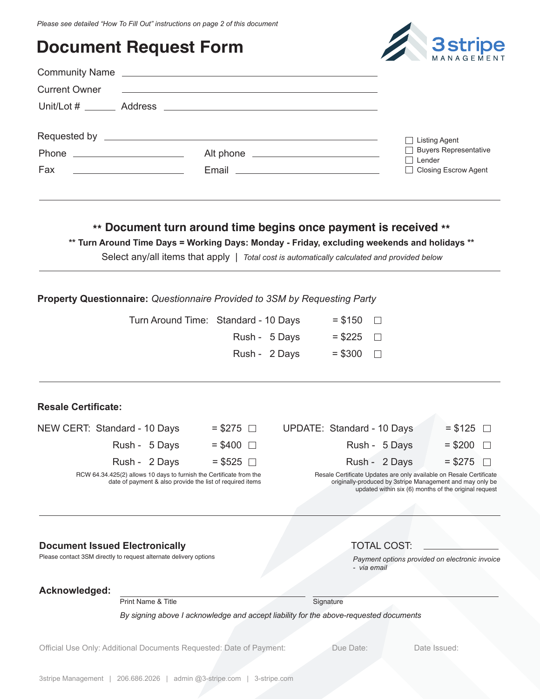## **Document Request Form**



| <b>Current Owner</b>                                                 | <u> 1989 - Johann John Stone, markin sanat masjid a shekara ta 1989 a shekara ta 1989 a shekara ta 1980 a shekara</u>                                                                                                                |                                 |
|----------------------------------------------------------------------|--------------------------------------------------------------------------------------------------------------------------------------------------------------------------------------------------------------------------------------|---------------------------------|
|                                                                      |                                                                                                                                                                                                                                      |                                 |
|                                                                      | Requested by <u>experimental and the set of the set of the set of the set of the set of the set of the set of the set of the set of the set of the set of the set of the set of the set of the set of the set of the set of the </u> | Listing Agent                   |
|                                                                      |                                                                                                                                                                                                                                      | Buyers Representative<br>Lender |
| Fax<br><u> 1989 - Johann Stein, mars an deutscher Stein († 1958)</u> |                                                                                                                                                                                                                                      | □ Closing Escrow Agent          |
|                                                                      |                                                                                                                                                                                                                                      |                                 |

### **\*\* Document turn around time begins once payment is received \*\***

**\*\* Turn Around Time Days = Working Days: Monday - Friday, excluding weekends and holidays \*\***

Select any/all items that apply | *Total cost is automatically calculated and provided below* 

#### **Property Questionnaire:** *Questionnaire Provided to 3SM by Requesting Party*

| Turn Around Time: Standard - 10 Days | $=$ \$150 $\Box$ |  |
|--------------------------------------|------------------|--|
| Rush - 5 Days                        | $= $225$         |  |
| Rush - 2 Days                        | $= $300$ $\Box$  |  |

#### **Resale Certificate:**

| NEW CERT: Standard - 10 Days                                                                                                     | $=$ \$275 $\Box$ | UPDATE: Standard - 10 Days                                                                                                       | $= $125$ $\Box$ |
|----------------------------------------------------------------------------------------------------------------------------------|------------------|----------------------------------------------------------------------------------------------------------------------------------|-----------------|
| Rush - 5 Days                                                                                                                    | $=$ \$400 $\Box$ | Rush - 5 Days                                                                                                                    | $= $200$ $\Box$ |
| Rush - 2 Days                                                                                                                    | $=$ \$525 $\Box$ | Rush - 2 Days                                                                                                                    | $= $275$ $\Box$ |
| RCW 64.34.425(2) allows 10 days to furnish the Certificate from the<br>date of payment & also provide the list of required items |                  | Resale Certificate Updates are only available on Resale Certificate<br>originally-produced by 3stripe Management and may only be |                 |

#### **Document Issued Electronically Contract COST:** TOTAL COST:

Please contact 3SM directly to request alternate delivery options



*Payment options provided on electronic invoice - via email*

updated within six (6) months of the original request

#### **Acknowledged:**

Print Name & Title Signature

*By signing above I acknowledge and accept liability for the above-requested documents* 

Official Use Only: Additional Documents Requested: Date of Payment: Due Date: Due Date: Date Issued: